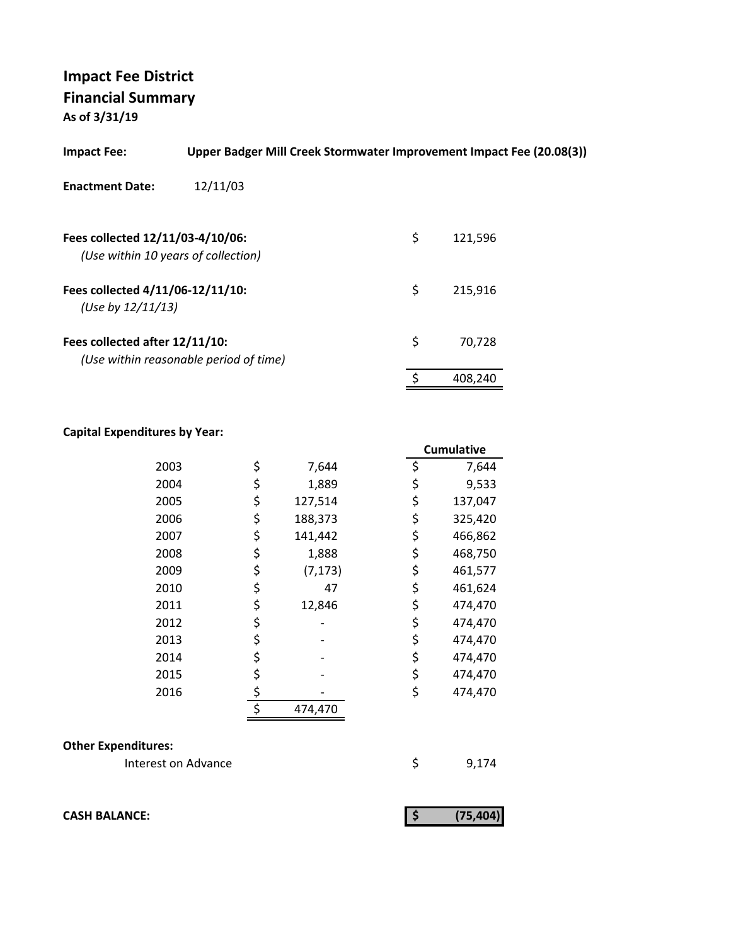| <b>Impact Fee:</b>                                                      | Upper Badger Mill Creek Stormwater Improvement Impact Fee (20.08(3)) |               |
|-------------------------------------------------------------------------|----------------------------------------------------------------------|---------------|
| <b>Enactment Date:</b>                                                  | 12/11/03                                                             |               |
| Fees collected 12/11/03-4/10/06:<br>(Use within 10 years of collection) |                                                                      | \$<br>121,596 |
| Fees collected 4/11/06-12/11/10:<br>(Use by $12/11/13$ )                |                                                                      | \$<br>215,916 |
| Fees collected after 12/11/10:                                          | (Use within reasonable period of time)                               | \$<br>70.728  |
|                                                                         |                                                                      | \$<br>408.240 |

#### **Capital Expenditures by Year:**

|      |                | <b>Cumulative</b> |
|------|----------------|-------------------|
| 2003 | \$<br>7,644    | \$<br>7,644       |
| 2004 | \$<br>1,889    | \$<br>9,533       |
| 2005 | \$<br>127,514  | \$<br>137,047     |
| 2006 | \$<br>188,373  | \$<br>325,420     |
| 2007 | \$<br>141,442  | \$<br>466,862     |
| 2008 | \$<br>1,888    | \$<br>468,750     |
| 2009 | \$<br>(7, 173) | \$<br>461,577     |
| 2010 | \$<br>47       | \$<br>461,624     |
| 2011 | \$<br>12,846   | \$<br>474,470     |
| 2012 | \$             | \$<br>474,470     |
| 2013 | \$             | \$<br>474,470     |
| 2014 | \$             | \$<br>474,470     |
| 2015 | \$             | \$<br>474,470     |
| 2016 | \$             | \$<br>474,470     |
|      | \$<br>474,470  |                   |

#### **Other Expenditures:**

Interest on Advance \$ 9,174

**CASH BALANCE:** (75,404)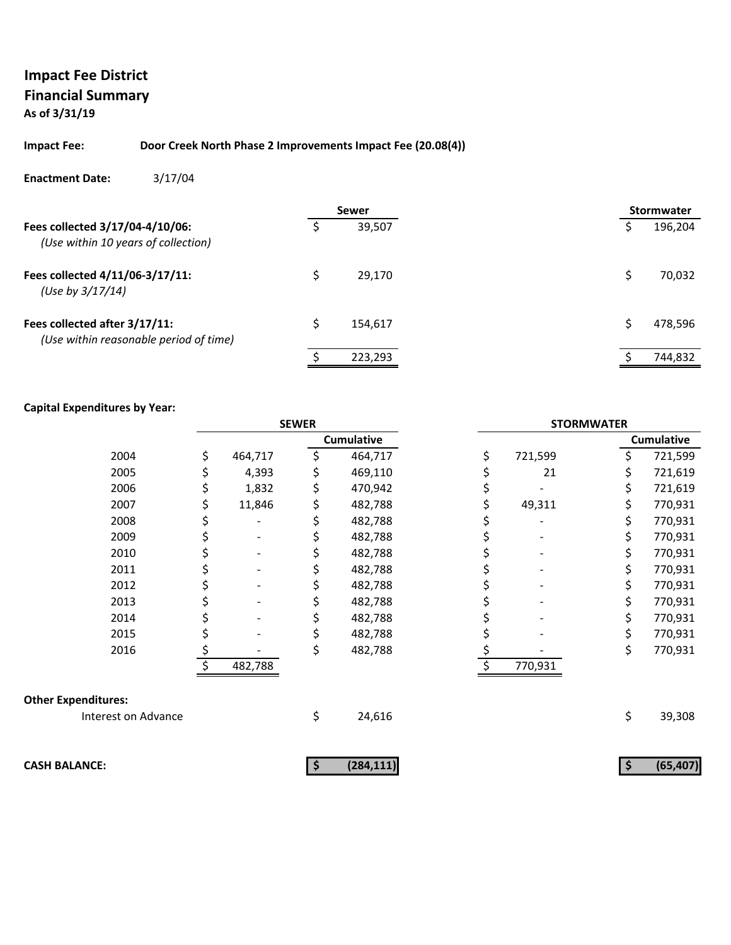#### **Impact Fee: Door Creek North Phase 2 Improvements Impact Fee (20.08(4))**

#### **Enactment Date:** 3/17/04

|                                                                         |   | Sewer   |  | <b>Stormwater</b> |
|-------------------------------------------------------------------------|---|---------|--|-------------------|
| Fees collected 3/17/04-4/10/06:<br>(Use within 10 years of collection)  |   | 39,507  |  | 196,204           |
| Fees collected 4/11/06-3/17/11:<br>(Use by $3/17/14$ )                  |   | 29.170  |  | 70,032            |
| Fees collected after 3/17/11:<br>(Use within reasonable period of time) | Ś | 154.617 |  | 478,596           |
|                                                                         |   | 223,293 |  | 744,832           |

|                            | <b>SEWER</b> |         | <b>STORMWATER</b> |                   |    |         |    |                   |
|----------------------------|--------------|---------|-------------------|-------------------|----|---------|----|-------------------|
|                            |              |         |                   | <b>Cumulative</b> |    |         |    | <b>Cumulative</b> |
| 2004                       | \$           | 464,717 |                   | 464,717           | \$ | 721,599 | \$ | 721,599           |
| 2005                       | \$           | 4,393   |                   | 469,110           |    | 21      | \$ | 721,619           |
| 2006                       | \$           | 1,832   |                   | 470,942           |    |         | \$ | 721,619           |
| 2007                       | \$           | 11,846  | Ş                 | 482,788           |    | 49,311  | \$ | 770,931           |
| 2008                       |              |         |                   | 482,788           |    |         | \$ | 770,931           |
| 2009                       |              |         |                   | 482,788           |    |         | \$ | 770,931           |
| 2010                       |              |         |                   | 482,788           |    |         | \$ | 770,931           |
| 2011                       |              |         |                   | 482,788           |    |         | \$ | 770,931           |
| 2012                       |              |         |                   | 482,788           |    |         | \$ | 770,931           |
| 2013                       |              |         |                   | 482,788           |    |         | \$ | 770,931           |
| 2014                       |              |         |                   | 482,788           |    |         | \$ | 770,931           |
| 2015                       |              |         |                   | 482,788           |    |         | \$ | 770,931           |
| 2016                       |              |         | \$                | 482,788           |    |         | \$ | 770,931           |
|                            |              | 482,788 |                   |                   | \$ | 770,931 |    |                   |
| <b>Other Expenditures:</b> |              |         |                   |                   |    |         |    |                   |
| Interest on Advance        |              |         | \$                | 24,616            |    |         | \$ | 39,308            |
| <b>CASH BALANCE:</b>       |              |         |                   | (284, 111)        |    |         |    | (65, 407)         |
|                            |              |         | \$                |                   |    |         | \$ |                   |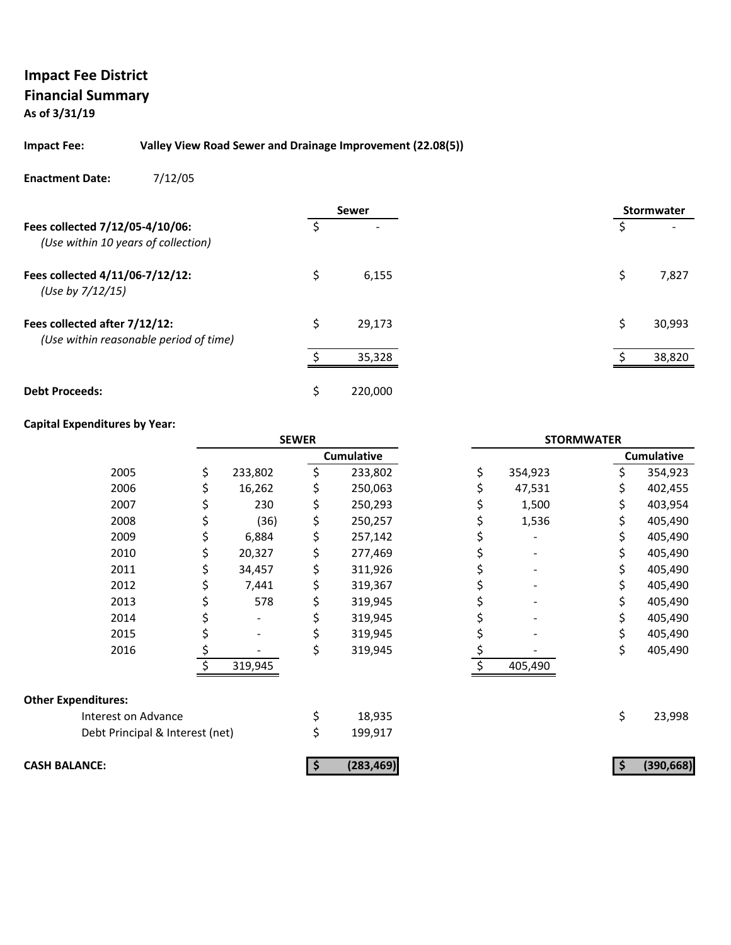#### **Impact Fee: Valley View Road Sewer and Drainage Improvement (22.08(5))**

#### **Enactment Date:** 7/12/05

|                                                                         |    | <b>Sewer</b> |  |   | Stormwater |
|-------------------------------------------------------------------------|----|--------------|--|---|------------|
| Fees collected 7/12/05-4/10/06:<br>(Use within 10 years of collection)  |    |              |  |   |            |
| Fees collected 4/11/06-7/12/12:<br>(Use by 7/12/15)                     | Ś  | 6,155        |  | S | 7,827      |
| Fees collected after 7/12/12:<br>(Use within reasonable period of time) | Ś  | 29,173       |  |   | 30,993     |
|                                                                         |    | 35,328       |  |   | 38,820     |
| <b>Debt Proceeds:</b>                                                   | \$ | 220,000      |  |   |            |

|                                 | <b>SEWER</b> |         | <b>STORMWATER</b> |               |     |                   |
|---------------------------------|--------------|---------|-------------------|---------------|-----|-------------------|
|                                 |              |         | <b>Cumulative</b> |               |     | <b>Cumulative</b> |
| 2005                            | \$           | 233,802 | \$<br>233,802     | \$<br>354,923 | Ś.  | 354,923           |
| 2006                            |              | 16,262  | \$<br>250,063     | 47,531        |     | 402,455           |
| 2007                            | Ş            | 230     | \$<br>250,293     | 1,500         | \$  | 403,954           |
| 2008                            | \$           | (36)    | \$<br>250,257     | 1,536         | \$  | 405,490           |
| 2009                            | \$           | 6,884   | \$<br>257,142     |               | S   | 405,490           |
| 2010                            | \$           | 20,327  | \$<br>277,469     |               |     | 405,490           |
| 2011                            | \$           | 34,457  | \$<br>311,926     |               | S.  | 405,490           |
| 2012                            | \$           | 7,441   | \$<br>319,367     |               | \$. | 405,490           |
| 2013                            | Ş            | 578     | \$<br>319,945     |               | S.  | 405,490           |
| 2014                            |              |         | 319,945           |               |     | 405,490           |
| 2015                            |              |         | \$<br>319,945     |               | \$  | 405,490           |
| 2016                            | \$           |         | \$<br>319,945     |               | \$  | 405,490           |
|                                 |              | 319,945 |                   | 405,490       |     |                   |
| <b>Other Expenditures:</b>      |              |         |                   |               |     |                   |
| Interest on Advance             |              |         | \$<br>18,935      |               | \$  | 23,998            |
| Debt Principal & Interest (net) |              |         | \$<br>199,917     |               |     |                   |
| <b>CASH BALANCE:</b>            |              |         | (283, 469)        |               |     | (390, 668)        |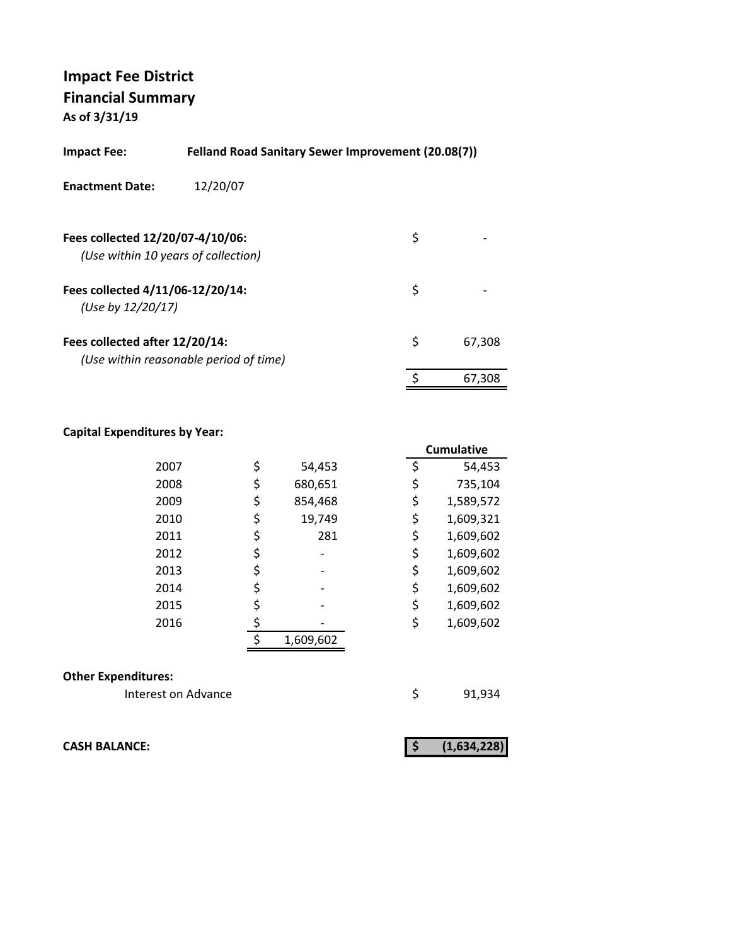| Impact Fee:                                           | Felland Road Sanitary Sewer Improvement (20.08(7)) |    |        |
|-------------------------------------------------------|----------------------------------------------------|----|--------|
| <b>Enactment Date:</b>                                | 12/20/07                                           |    |        |
| Fees collected 12/20/07-4/10/06:                      | (Use within 10 years of collection)                | \$ |        |
| Fees collected 4/11/06-12/20/14:<br>(Use by 12/20/17) |                                                    | \$ |        |
| Fees collected after 12/20/14:                        | (Use within reasonable period of time)             | \$ | 67,308 |
|                                                       |                                                    | \$ | 67.308 |

#### **Capital Expenditures by Year:**

|      |               |    | <b>Cumulative</b> |
|------|---------------|----|-------------------|
| 2007 | \$<br>54,453  | \$ | 54,453            |
| 2008 | \$<br>680,651 | \$ | 735,104           |
| 2009 | \$<br>854,468 | \$ | 1,589,572         |
| 2010 | \$<br>19,749  | \$ | 1,609,321         |
| 2011 | 281           | \$ | 1,609,602         |
| 2012 |               | \$ | 1,609,602         |
| 2013 |               | \$ | 1,609,602         |
| 2014 |               | \$ | 1,609,602         |
| 2015 |               | \$ | 1,609,602         |
| 2016 |               | \$ | 1,609,602         |
|      | 1,609,602     |    |                   |
|      |               |    |                   |

#### **Other Expenditures:**

Interest on Advance **1922** \$91,934

**CASH BALANCE: (1,634,228) \$**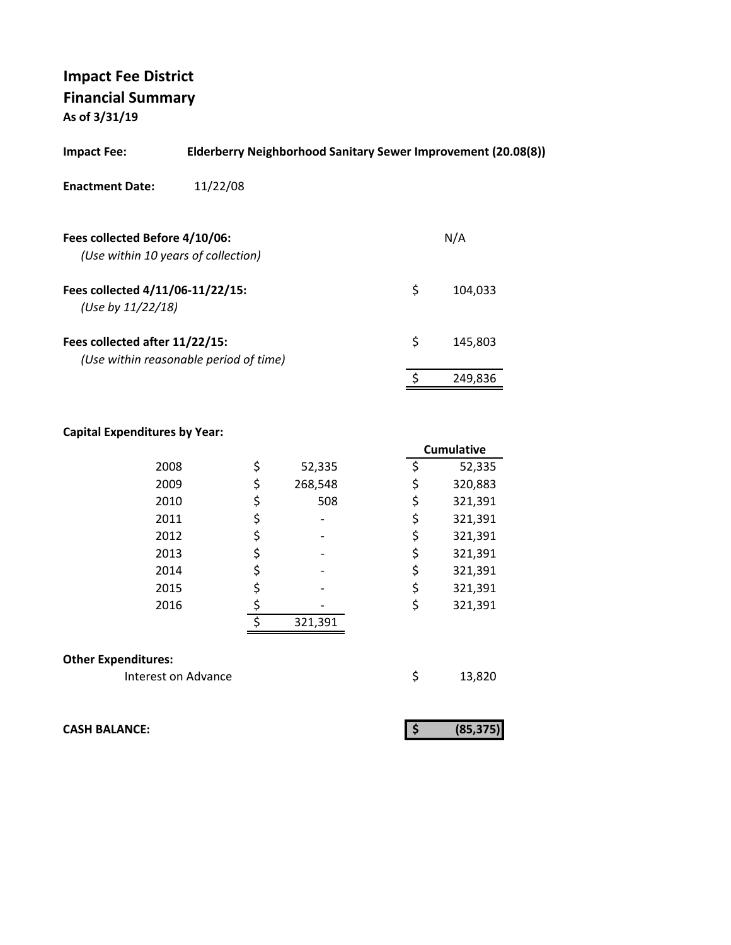| Impact Fee:                                                           | Elderberry Neighborhood Sanitary Sewer Improvement (20.08(8)) |               |
|-----------------------------------------------------------------------|---------------------------------------------------------------|---------------|
| <b>Enactment Date:</b>                                                | 11/22/08                                                      |               |
| Fees collected Before 4/10/06:<br>(Use within 10 years of collection) |                                                               | N/A           |
| Fees collected 4/11/06-11/22/15:<br>(Use by 11/22/18)                 |                                                               | \$<br>104.033 |
| Fees collected after 11/22/15:                                        | (Use within reasonable period of time)                        | \$<br>145.803 |
|                                                                       |                                                               | 249,836       |

#### **Capital Expenditures by Year:**

|                            |    |         | <b>Cumulative</b> |
|----------------------------|----|---------|-------------------|
| 2008                       | \$ | 52,335  | \$<br>52,335      |
| 2009                       | \$ | 268,548 | \$<br>320,883     |
| 2010                       | \$ | 508     | \$<br>321,391     |
| 2011                       | \$ |         | \$<br>321,391     |
| 2012                       | \$ |         | \$<br>321,391     |
| 2013                       | \$ |         | \$<br>321,391     |
| 2014                       | \$ |         | \$<br>321,391     |
| 2015                       | \$ |         | \$<br>321,391     |
| 2016                       | \$ |         | \$<br>321,391     |
|                            | ¢  | 321,391 |                   |
|                            |    |         |                   |
| <b>Other Expenditures:</b> |    |         |                   |
| Interest on Advance        |    |         | \$<br>13,820      |

**CASH BALANCE:** 

|--|--|--|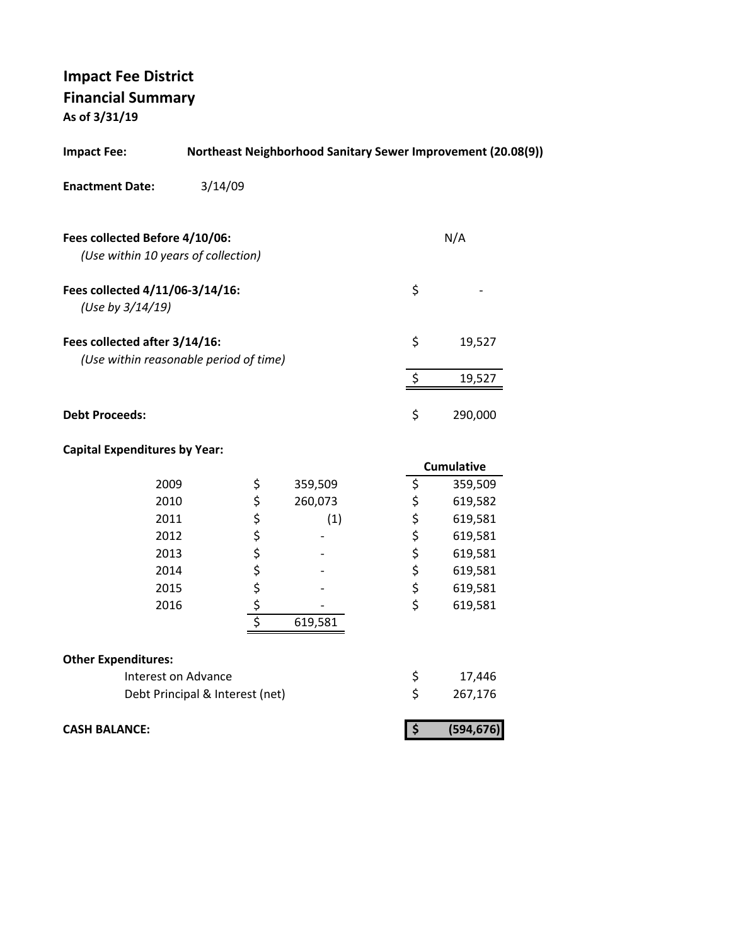| <b>Impact Fee:</b>                                                      |                                 |              |         |                         | Northeast Neighborhood Sanitary Sewer Improvement (20.08(9)) |
|-------------------------------------------------------------------------|---------------------------------|--------------|---------|-------------------------|--------------------------------------------------------------|
| <b>Enactment Date:</b>                                                  | 3/14/09                         |              |         |                         |                                                              |
| Fees collected Before 4/10/06:<br>(Use within 10 years of collection)   |                                 |              |         |                         | N/A                                                          |
| Fees collected 4/11/06-3/14/16:<br>(Use by 3/14/19)                     |                                 |              |         | \$                      |                                                              |
| Fees collected after 3/14/16:<br>(Use within reasonable period of time) |                                 |              |         | \$                      | 19,527                                                       |
|                                                                         |                                 |              |         | \$                      | 19,527                                                       |
| <b>Debt Proceeds:</b>                                                   |                                 |              |         | \$                      | 290,000                                                      |
| <b>Capital Expenditures by Year:</b>                                    |                                 |              |         |                         |                                                              |
|                                                                         |                                 |              |         |                         | <b>Cumulative</b>                                            |
| 2009                                                                    |                                 | \$           | 359,509 | \$                      | 359,509                                                      |
| 2010                                                                    |                                 | \$           | 260,073 | \$                      | 619,582                                                      |
| 2011                                                                    |                                 |              | (1)     | \$                      | 619,581                                                      |
| 2012                                                                    |                                 |              |         | \$                      | 619,581                                                      |
| 2013                                                                    |                                 |              |         | \$                      | 619,581                                                      |
| 2014                                                                    |                                 |              |         | \$                      | 619,581                                                      |
| 2015                                                                    |                                 |              |         | \$                      | 619,581                                                      |
| 2016                                                                    |                                 | \$\$\$\$\$\$ |         | \$                      | 619,581                                                      |
|                                                                         |                                 |              | 619,581 |                         |                                                              |
| <b>Other Expenditures:</b>                                              |                                 |              |         |                         |                                                              |
|                                                                         | Interest on Advance             |              |         | \$                      | 17,446                                                       |
|                                                                         | Debt Principal & Interest (net) |              |         | \$                      | 267,176                                                      |
| <b>CASH BALANCE:</b>                                                    |                                 |              |         | $\overline{\mathbf{v}}$ | (594, 676)                                                   |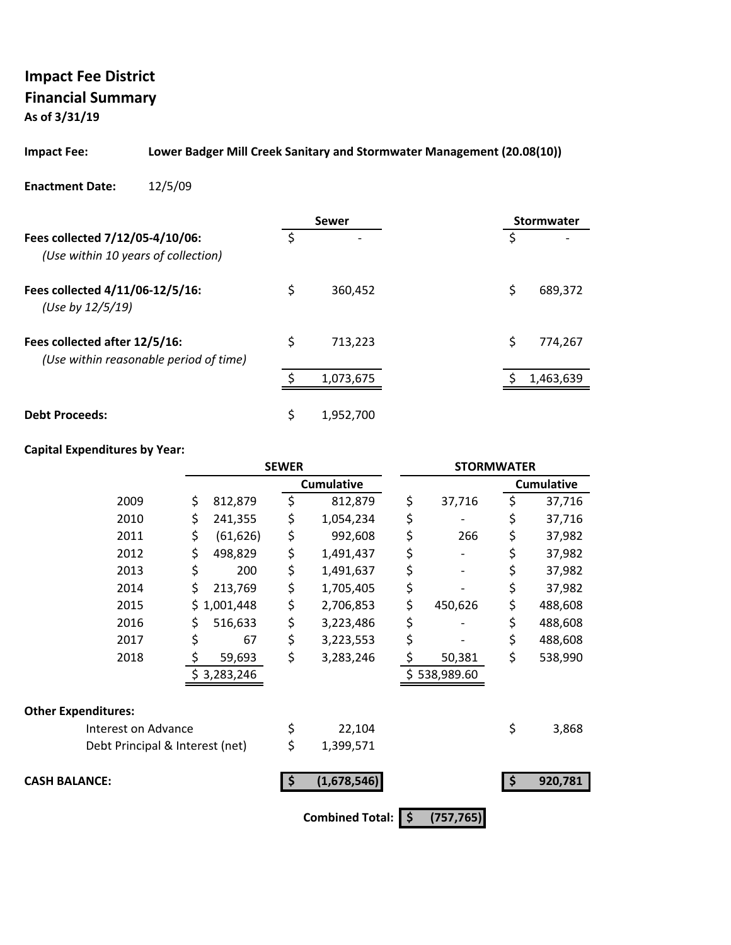# **Impact Fee District Financial Summary**

**As of 3/31/19**

#### **Impact Fee: Lower Badger Mill Creek Sanitary and Stormwater Management (20.08(10))**

#### **Enactment Date:** 12/5/09

|                                                                         |    | Sewer          |    | Stormwater |
|-------------------------------------------------------------------------|----|----------------|----|------------|
| Fees collected 7/12/05-4/10/06:<br>(Use within 10 years of collection)  | Ś  | $\overline{ }$ | S  |            |
| Fees collected 4/11/06-12/5/16:<br>(Use by 12/5/19)                     | \$ | 360,452        | \$ | 689,372    |
| Fees collected after 12/5/16:<br>(Use within reasonable period of time) | \$ | 713.223        | \$ | 774.267    |
|                                                                         |    | 1,073,675      |    | 1,463,639  |
| <b>Debt Proceeds:</b>                                                   | \$ | 1,952,700      |    |            |

|                                 | <b>SEWER</b> |             | <b>STORMWATER</b>      |    |              |    |                   |
|---------------------------------|--------------|-------------|------------------------|----|--------------|----|-------------------|
|                                 |              |             | <b>Cumulative</b>      |    |              |    | <b>Cumulative</b> |
| 2009                            | \$           | 812,879     | \$<br>812,879          | \$ | 37,716       | \$ | 37,716            |
| 2010                            | \$           | 241,355     | \$<br>1,054,234        | \$ |              | \$ | 37,716            |
| 2011                            | \$           | (61, 626)   | \$<br>992,608          | \$ | 266          | \$ | 37,982            |
| 2012                            | \$           | 498,829     | \$<br>1,491,437        | \$ |              | \$ | 37,982            |
| 2013                            | \$           | 200         | \$<br>1,491,637        | \$ |              | \$ | 37,982            |
| 2014                            | \$           | 213,769     | \$<br>1,705,405        | \$ |              | \$ | 37,982            |
| 2015                            |              | \$1,001,448 | \$<br>2,706,853        | \$ | 450,626      | \$ | 488,608           |
| 2016                            | \$           | 516,633     | \$<br>3,223,486        | \$ |              | \$ | 488,608           |
| 2017                            | \$           | 67          | \$<br>3,223,553        | \$ |              | \$ | 488,608           |
| 2018                            | \$           | 59,693      | \$<br>3,283,246        | \$ | 50,381       | \$ | 538,990           |
|                                 |              | \$3,283,246 |                        |    | \$538,989.60 |    |                   |
| <b>Other Expenditures:</b>      |              |             |                        |    |              |    |                   |
| Interest on Advance             |              |             | \$<br>22,104           |    |              | \$ | 3,868             |
| Debt Principal & Interest (net) |              |             | \$<br>1,399,571        |    |              |    |                   |
| <b>CASH BALANCE:</b>            |              |             | (1,678,546)            |    |              | Ŝ  | 920,781           |
|                                 |              |             | <b>Combined Total:</b> | \$ | (757, 765)   |    |                   |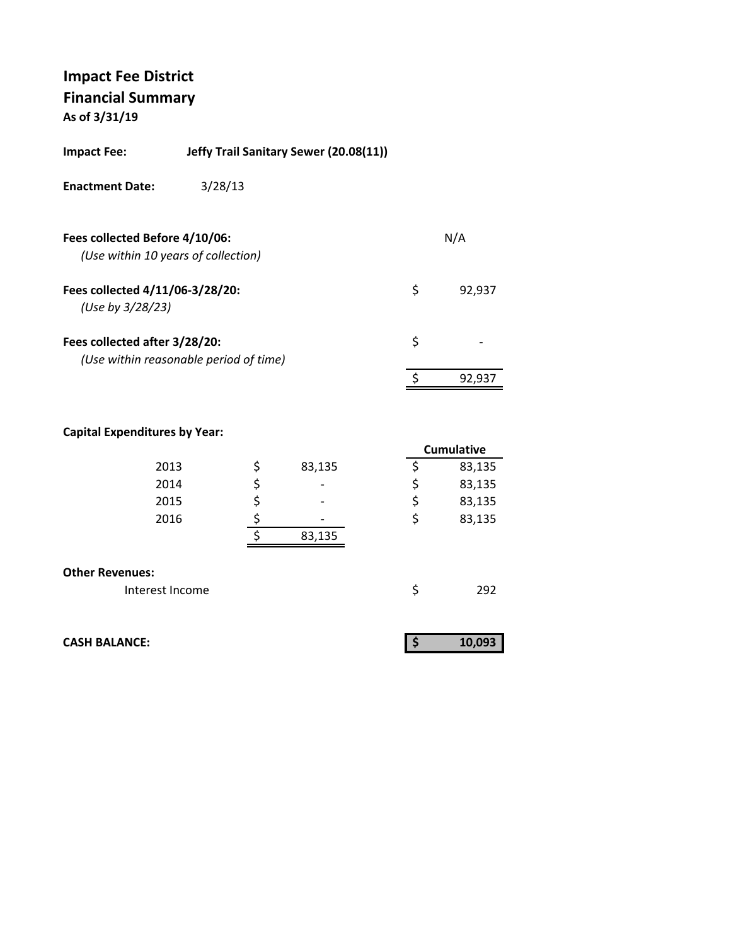| Impact Fee:                                         | Jeffy Trail Sanitary Sewer (20.08(11)) |              |
|-----------------------------------------------------|----------------------------------------|--------------|
| <b>Enactment Date:</b>                              | 3/28/13                                |              |
| Fees collected Before 4/10/06:                      | (Use within 10 years of collection)    | N/A          |
| Fees collected 4/11/06-3/28/20:<br>(Use by 3/28/23) |                                        | \$<br>92,937 |
| Fees collected after 3/28/20:                       | (Use within reasonable period of time) | \$           |
|                                                     |                                        | \$<br>92.937 |

|                       | <b>Cumulative</b> |
|-----------------------|-------------------|
| \$<br>83,135          | \$<br>83,135      |
| \$<br>$\qquad \qquad$ | \$<br>83,135      |
| \$                    | \$<br>83,135      |
|                       | \$<br>83,135      |
| 83,135                |                   |
|                       | \$<br>292         |
|                       |                   |

| <b>CASH BALANCE:</b> | 10.093 |
|----------------------|--------|
|                      |        |

| 193<br>O٣ |  |
|-----------|--|
|-----------|--|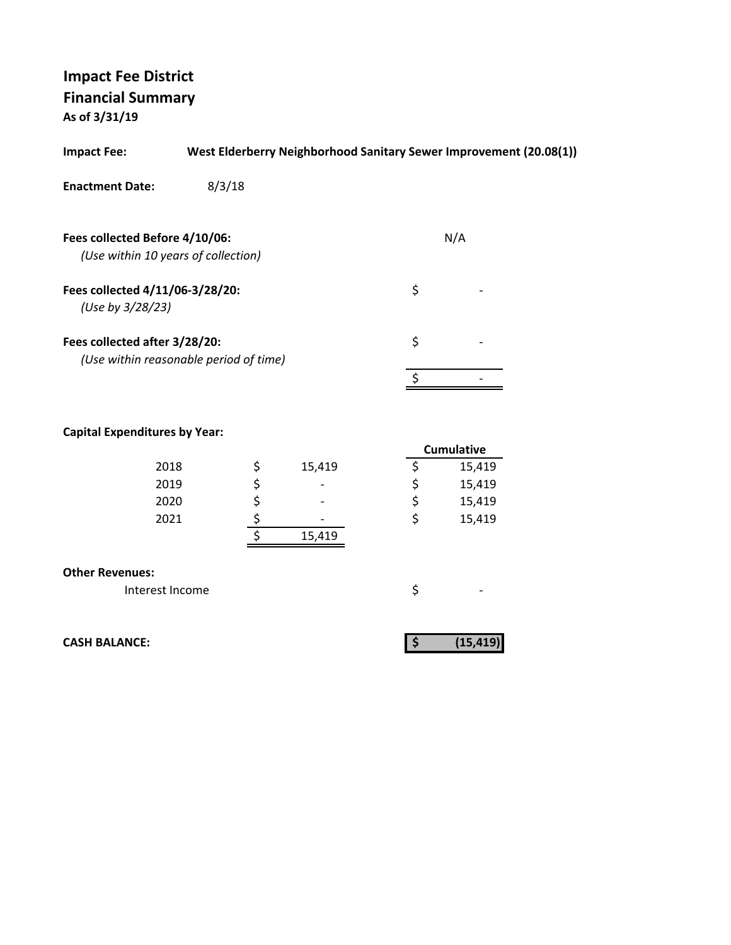| <b>Impact Fee:</b>                                                    | West Elderberry Neighborhood Sanitary Sewer Improvement (20.08(1)) |     |  |
|-----------------------------------------------------------------------|--------------------------------------------------------------------|-----|--|
| <b>Enactment Date:</b>                                                | 8/3/18                                                             |     |  |
| Fees collected Before 4/10/06:<br>(Use within 10 years of collection) |                                                                    | N/A |  |
| Fees collected 4/11/06-3/28/20:<br>(Use by 3/28/23)                   |                                                                    | \$  |  |
| Fees collected after 3/28/20:                                         | (Use within reasonable period of time)                             | \$  |  |
|                                                                       |                                                                    |     |  |

#### **Capital Expenditures by Year:**

|      |                          |   | <b>Cumulative</b> |
|------|--------------------------|---|-------------------|
| 2018 | 15,419                   |   | 15,419            |
| 2019 | $\overline{\phantom{0}}$ |   | 15,419            |
| 2020 | $\overline{\phantom{0}}$ | ⇒ | 15,419            |
| 2021 | $\overline{\phantom{0}}$ |   | 15,419            |
|      | 15,419                   |   |                   |
|      |                          |   |                   |

#### **Other Revenues:**

| Interest Income |  |  |
|-----------------|--|--|
|                 |  |  |

**CASH BALANCE:** (15,419)